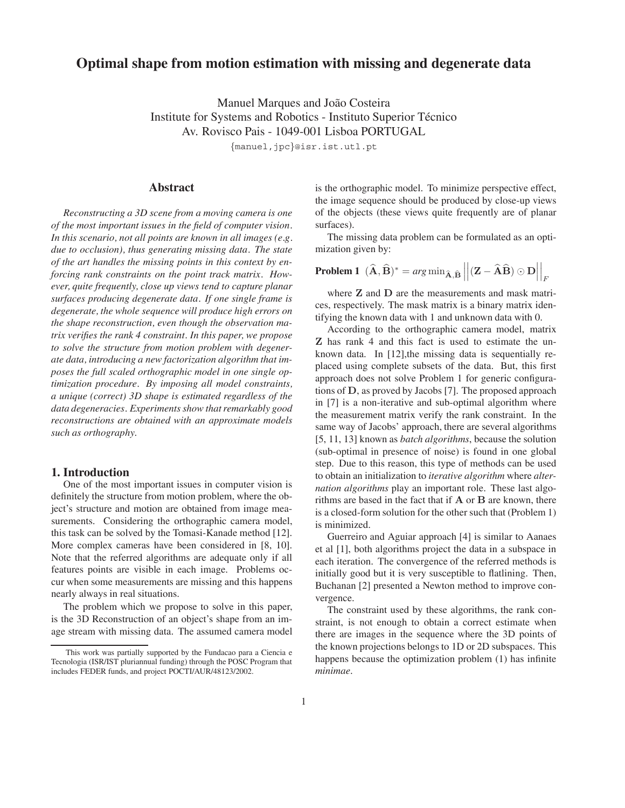# **Optimal shape from motion estimation with missing and degenerate data**

Manuel Marques and João Costeira Institute for Systems and Robotics - Instituto Superior Técnico Av. Rovisco Pais - 1049-001 Lisboa PORTUGAL

*{*manuel,jpc*}*@isr.ist.utl.pt

# **Abstract**

*Reconstructing a 3D scene from a moving camera is one of the most important issues in the field of computer vision. In this scenario, not all points are known in all images (e.g. due to occlusion), thus generating missing data. The state of the art handles the missing points in this context by enforcing rank constraints on the point track matrix. However, quite frequently, close up views tend to capture planar surfaces producing degenerate data. If one single frame is degenerate, the whole sequence will produce high errors on the shape reconstruction, even though the observation matrix verifies the rank 4 constraint. In this paper, we propose to solve the structure from motion problem with degenerate data, introducing a new factorization algorithm that imposes the full scaled orthographic model in one single optimization procedure. By imposing all model constraints, a unique (correct) 3D shape is estimated regardless of the data degeneracies. Experiments show that remarkably good reconstructions are obtained with an approximate models such as orthography.*

## **1. Introduction**

One of the most important issues in computer vision is definitely the structure from motion problem, where the object's structure and motion are obtained from image measurements. Considering the orthographic camera model, this task can be solved by the Tomasi-Kanade method [12]. More complex cameras have been considered in [8, 10]. Note that the referred algorithms are adequate only if all features points are visible in each image. Problems occur when some measurements are missing and this happens nearly always in real situations.

The problem which we propose to solve in this paper, is the 3D Reconstruction of an object's shape from an image stream with missing data. The assumed camera model is the orthographic model. To minimize perspective effect, the image sequence should be produced by close-up views of the objects (these views quite frequently are of planar surfaces).

The missing data problem can be formulated as an optimization given by:

**Problem 1** 
$$
(\hat{\mathbf{A}}, \hat{\mathbf{B}})^* = arg \min_{\hat{\mathbf{A}}, \hat{\mathbf{B}}} ||(\mathbf{Z} - \hat{\mathbf{A}}\hat{\mathbf{B}}) \odot \mathbf{D}||_F
$$

where **Z** and **D** are the measurements and mask matrices, respectively. The mask matrix is a binary matrix identifying the known data with 1 and unknown data with 0.

According to the orthographic camera model, matrix **Z** has rank 4 and this fact is used to estimate the unknown data. In [12],the missing data is sequentially replaced using complete subsets of the data. But, this first approach does not solve Problem 1 for generic configurations of **D**, as proved by Jacobs [7]. The proposed approach in [7] is a non-iterative and sub-optimal algorithm where the measurement matrix verify the rank constraint. In the same way of Jacobs' approach, there are several algorithms [5, 11, 13] known as *batch algorithms*, because the solution (sub-optimal in presence of noise) is found in one global step. Due to this reason, this type of methods can be used to obtain an initialization to *iterative algorithm* where *alternation algorithms* play an important role. These last algorithms are based in the fact that if **A** or **B** are known, there is a closed-form solution for the other such that (Problem 1) is minimized.

Guerreiro and Aguiar approach [4] is similar to Aanaes et al [1], both algorithms project the data in a subspace in each iteration. The convergence of the referred methods is initially good but it is very susceptible to flatlining. Then, Buchanan [2] presented a Newton method to improve convergence.

The constraint used by these algorithms, the rank constraint, is not enough to obtain a correct estimate when there are images in the sequence where the 3D points of the known projections belongs to 1D or 2D subspaces. This happens because the optimization problem (1) has infinite *minimae*.

This work was partially supported by the Fundacao para a Ciencia e Tecnologia (ISR/IST pluriannual funding) through the POSC Program that includes FEDER funds, and project POCTI/AUR/48123/2002.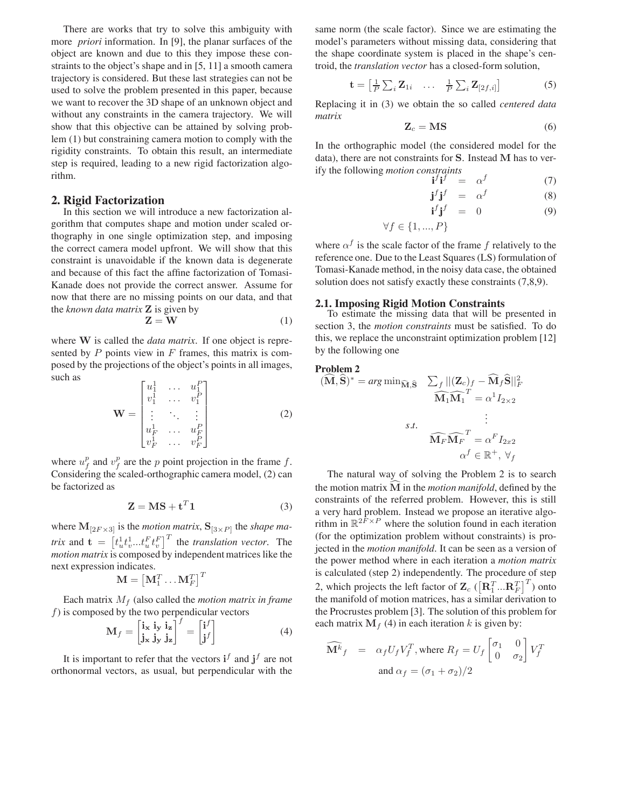There are works that try to solve this ambiguity with more *priori* information. In [9], the planar surfaces of the object are known and due to this they impose these constraints to the object's shape and in [5, 11] a smooth camera trajectory is considered. But these last strategies can not be used to solve the problem presented in this paper, because we want to recover the 3D shape of an unknown object and without any constraints in the camera trajectory. We will show that this objective can be attained by solving problem (1) but constraining camera motion to comply with the rigidity constraints. To obtain this result, an intermediate step is required, leading to a new rigid factorization algorithm.

### **2. Rigid Factorization**

In this section we will introduce a new factorization algorithm that computes shape and motion under scaled orthography in one single optimization step, and imposing the correct camera model upfront. We will show that this constraint is unavoidable if the known data is degenerate and because of this fact the affine factorization of Tomasi-Kanade does not provide the correct answer. Assume for now that there are no missing points on our data, and that the *known data matrix* **Z** is given by

$$
\mathbf{Z} = \mathbf{W} \tag{1}
$$

where **W** is called the *data matrix*. If one object is represented by  $P$  points view in  $F$  frames, this matrix is composed by the projections of the object's points in all images, such as  $D_{\Box}$ 

$$
\mathbf{W} = \begin{bmatrix} u_1^1 & \dots & u_1^P \\ v_1^1 & \dots & v_1^P \\ \vdots & \ddots & \vdots \\ u_F^1 & \dots & u_F^P \\ v_F^1 & \dots & v_F^P \end{bmatrix}
$$
 (2)

where  $u_f^p$  and  $v_f^p$  are the p point projection in the frame f. Considering the scaled-orthographic camera model, (2) can be factorized as

$$
\mathbf{Z} = \mathbf{M}\mathbf{S} + \mathbf{t}^T \mathbf{1} \tag{3}
$$

where  $\mathbf{M}_{[2F \times 3]}$  is the *motion matrix*,  $\mathbf{S}_{[3 \times P]}$  the *shape matrix* and  $\mathbf{t} = \left[ t_u^1 t_v^1 ... t_u^F t_v^F \right]^T$  the *translation vector*. The *motion matrix* is composed by independent matrices like the next expression indicates.

$$
\mathbf{M} = \left[\mathbf{M}_1^T \dots \mathbf{M}_F^T \right]^T
$$

Each matrix M*<sup>f</sup>* (also called the *motion matrix in frame*  $f$ ) is composed by the two perpendicular vectors

$$
\mathbf{M}_{f} = \begin{bmatrix} \mathbf{i}_{\mathbf{x}} & \mathbf{i}_{\mathbf{y}} & \mathbf{i}_{\mathbf{z}} \\ \mathbf{j}_{\mathbf{x}} & \mathbf{j}_{\mathbf{y}} & \mathbf{j}_{\mathbf{z}} \end{bmatrix}^{f} = \begin{bmatrix} \mathbf{i}^{f} \\ \mathbf{j}^{f} \end{bmatrix}
$$
(4)

It is important to refer that the vectors  $\mathbf{i}^f$  and  $\mathbf{j}^f$  are not orthonormal vectors, as usual, but perpendicular with the same norm (the scale factor). Since we are estimating the model's parameters without missing data, considering that the shape coordinate system is placed in the shape's centroid, the *translation vector* has a closed-form solution,

$$
\mathbf{t} = \begin{bmatrix} \frac{1}{P} \sum_{i} \mathbf{Z}_{1i} & \dots & \frac{1}{P} \sum_{i} \mathbf{Z}_{[2f,i]} \end{bmatrix}
$$
 (5)

Replacing it in (3) we obtain the so called *centered data matrix*

$$
\mathbf{Z}_c = \mathbf{MS} \tag{6}
$$

In the orthographic model (the considered model for the data), there are not constraints for **S**. Instead **M** has to verify the following *motion constraints*

$$
\mathbf{i}^f \mathbf{i}^f = \alpha^f \tag{7}
$$

$$
\mathbf{j}^f \mathbf{j}^f = \alpha^f \tag{8}
$$

$$
\mathbf{i}^f \mathbf{j}^f = 0 \tag{9}
$$

$$
\forall f \in \{1,...,P\}
$$

where  $\alpha^f$  is the scale factor of the frame f relatively to the reference one. Due to the Least Squares (LS) formulation of Tomasi-Kanade method, in the noisy data case, the obtained solution does not satisfy exactly these constraints (7,8,9).

#### **2.1. Imposing Rigid Motion Constraints**

To estimate the missing data that will be presented in section 3, the *motion constraints* must be satisfied. To do this, we replace the unconstraint optimization problem [12] by the following one

Problem 2  
\n
$$
(\widehat{M}, \widehat{S})^* = arg \min_{\widehat{M}, \widehat{S}} \sum_f ||(\mathbf{Z}_c)_f - \widehat{M}_f \widehat{S}||_F^2
$$
  
\n $\widehat{M}_1 \widehat{M}_1^T = \alpha^1 I_{2 \times 2}$   
\n  
\n $s.t.$   
\n $\widehat{M}_F \widehat{M}_F^T = \alpha^F I_{2x2}$   
\n $\alpha^f \in \mathbb{R}^+, \forall_f$ 

The natural way of solving the Problem 2 is to search the motion matrix **M** in the *motion manifold*, defined by the constraints of the referred problem. However, this is still a very hard problem. Instead we propose an iterative algorithm in  $\mathbb{R}^{2F \times P}$  where the solution found in each iteration (for the optimization problem without constraints) is projected in the *motion manifold*. It can be seen as a version of the power method where in each iteration a *motion matrix* is calculated (step 2) independently. The procedure of step 2, which projects the left factor of  $\mathbf{Z}_c$  ( $\left[\mathbf{R}_1^T...\mathbf{R}_F^T\right]^T$ ) onto the manifold of motion matrices, has a similar derivation to the Procrustes problem [3]. The solution of this problem for each matrix  $M_f$  (4) in each iteration k is given by:

$$
\widehat{\mathbf{M}^k}_f = \alpha_f U_f V_f^T, \text{ where } R_f = U_f \begin{bmatrix} \sigma_1 & 0 \\ 0 & \sigma_2 \end{bmatrix} V_f^T
$$
  
and  $\alpha_f = (\sigma_1 + \sigma_2)/2$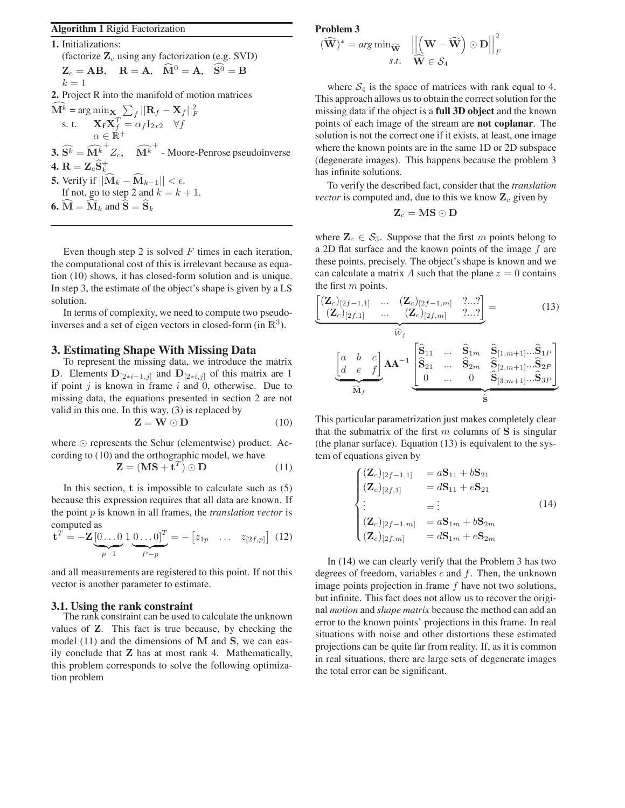## **Algorithm 1** Rigid Factorization

**1.** Initializations: (factorize **Z***<sup>c</sup>* using any factorization (e.g. SVD)  $Z_c = AB$ ,  $R = A$ ,  $\hat{M}^0 = A$ ,  $S^0 = B$  $k=1$ **2.** Project R into the manifold of motion matrices  $\widehat{\mathbf{M}^k}$  =  $\arg\min_{\mathbf{X}} \sum_{f} ||\mathbf{R}_f - \mathbf{X}_f||_F^2$ s. t.  $\mathbf{X_f} \mathbf{X_f}^T = \alpha_f \mathbf{I}_{2x2} \quad \forall f$  $\alpha \in \mathbb{R}^+$ **3.**  $\widehat{S^k} = \widehat{M^k}^+ Z_c$ ,  $\widehat{M^k}^+$  - Moore-Penrose pseudoinverse  $\mathbf{4.} \ \mathbf{R} = \mathbf{Z}_c \widehat{\mathbf{S}}^{+}_{k_z}$ **5.** Verify if  $||\mathbf{M}_k - \mathbf{M}_{k-1}|| < \epsilon$ . If not, go to step 2 and  $k = k + 1$ . **6.**  $\mathbf{M} = \mathbf{M}_k$  and  $\mathbf{S} = \mathbf{S}_k$ 

Even though step 2 is solved  $F$  times in each iteration, the computational cost of this is irrelevant because as equation (10) shows, it has closed-form solution and is unique. In step 3, the estimate of the object's shape is given by a LS solution.

In terms of complexity, we need to compute two pseudoinverses and a set of eigen vectors in closed-form (in  $\mathbb{R}^3$ ).

### **3. Estimating Shape With Missing Data**

To represent the missing data, we introduce the matrix **D**. Elements  $D_{[2*i-1,j]}$  and  $D_{[2*i,j]}$  of this matrix are 1 if point  $j$  is known in frame  $i$  and 0, otherwise. Due to missing data, the equations presented in section 2 are not valid in this one. In this way, (3) is replaced by

$$
\mathbf{Z} = \mathbf{W} \odot \mathbf{D} \tag{10}
$$

where  $\odot$  represents the Schur (elementwise) product. According to (10) and the orthographic model, we have

$$
\mathbf{Z} = (\mathbf{MS} + \mathbf{t}^T) \odot \mathbf{D} \tag{11}
$$

In this section, **t** is impossible to calculate such as (5) because this expression requires that all data are known. If the point p is known in all frames, the *translation vector* is computed as

$$
\mathbf{t}^T = -\mathbf{Z} \underbrace{\begin{bmatrix} 0 \dots 0 \\ p-1 \end{bmatrix}}_{p-1} \underbrace{0 \dots 0} \begin{bmatrix} T \\ P-p \end{bmatrix} = -\begin{bmatrix} z_{1p} & \dots & z_{[2f,p]} \end{bmatrix} \tag{12}
$$

and all measurements are registered to this point. If not this vector is another parameter to estimate.

### **3.1. Using the rank constraint**

The rank constraint can be used to calculate the unknown values of **Z**. This fact is true because, by checking the model (11) and the dimensions of **M** and **S**, we can easily conclude that **Z** has at most rank 4. Mathematically, this problem corresponds to solve the following optimization problem

#### **Problem 3**

$$
(\widehat{\mathbf{W}})^* = \arg\min_{\widehat{\mathbf{W}}} \quad \left| \left| \left( \mathbf{W} - \widehat{\mathbf{W}} \right) \odot \mathbf{D} \right| \right|_F^2
$$
  
*s.t.*  $\widehat{\mathbf{W}} \in \mathcal{S}_4$ 

where  $S_4$  is the space of matrices with rank equal to 4. This approach allows us to obtain the correct solution for the missing data if the object is a **full 3D object** and the known points of each image of the stream are **not coplanar**. The solution is not the correct one if it exists, at least, one image where the known points are in the same 1D or 2D subspace (degenerate images). This happens because the problem 3 has infinite solutions.

To verify the described fact, consider that the *translation vector* is computed and, due to this we know  $\mathbf{Z}_c$  given by

$$
\mathbf{Z}_c = \mathbf{MS} \odot \mathbf{D}
$$

where  $\mathbf{Z}_c \in \mathcal{S}_3$ . Suppose that the first m points belong to a 2D flat surface and the known points of the image  $f$  are these points, precisely. The object's shape is known and we can calculate a matrix A such that the plane  $z = 0$  contains the first m points.

$$
\underbrace{\begin{bmatrix} (\mathbf{Z}_c)_{[2f-1,1]} & \cdots & (\mathbf{Z}_c)_{[2f-1,m]} & \cdots \\ (\mathbf{Z}_c)_{[2f,1]} & \cdots & (\mathbf{Z}_c)_{[2f,m]} & \cdots \end{bmatrix}}_{\widehat{W}_f} = \underbrace{\begin{bmatrix} (\mathbf{Z}_c)_{[2f-1,m]} & \cdots & (\mathbf{Z}_c)_{[2f,m]} \\ \vdots & \ddots & \vdots \\ (\mathbf{Z}_c)_{[2f,m]} & \cdots & \mathbf{S}_{1m} \\ \hline \mathbf{S}_{21} & \cdots & \mathbf{S}_{2m} & \mathbf{S}_{[2,m+1]} \cdots \mathbf{S}_{2P} \\ \hline \mathbf{S}_{3m+1} & \cdots & \mathbf{S}_{3P} \end{bmatrix}}_{\widehat{\mathbf{M}}_f}
$$
\n
$$
(13)
$$

This particular parametrization just makes completely clear that the submatrix of the first  $m$  columns of  $S$  is singular (the planar surface). Equation (13) is equivalent to the system of equations given by

$$
\begin{cases}\n(\mathbf{Z}_c)_{[2f-1,1]} &= a\mathbf{S}_{11} + b\mathbf{S}_{21} \\
(\mathbf{Z}_c)_{[2f,1]} &= d\mathbf{S}_{11} + e\mathbf{S}_{21} \\
\vdots &= \vdots \\
(\mathbf{Z}_c)_{[2f-1,m]} &= a\mathbf{S}_{1m} + b\mathbf{S}_{2m} \\
(\mathbf{Z}_c)_{[2f,m]} &= d\mathbf{S}_{1m} + e\mathbf{S}_{2m}\n\end{cases}
$$
\n(14)

In (14) we can clearly verify that the Problem 3 has two degrees of freedom, variables  $c$  and  $f$ . Then, the unknown image points projection in frame  $f$  have not two solutions, but infinite. This fact does not allow us to recover the original *motion* and *shape matrix* because the method can add an error to the known points' projections in this frame. In real situations with noise and other distortions these estimated projections can be quite far from reality. If, as it is common in real situations, there are large sets of degenerate images the total error can be significant.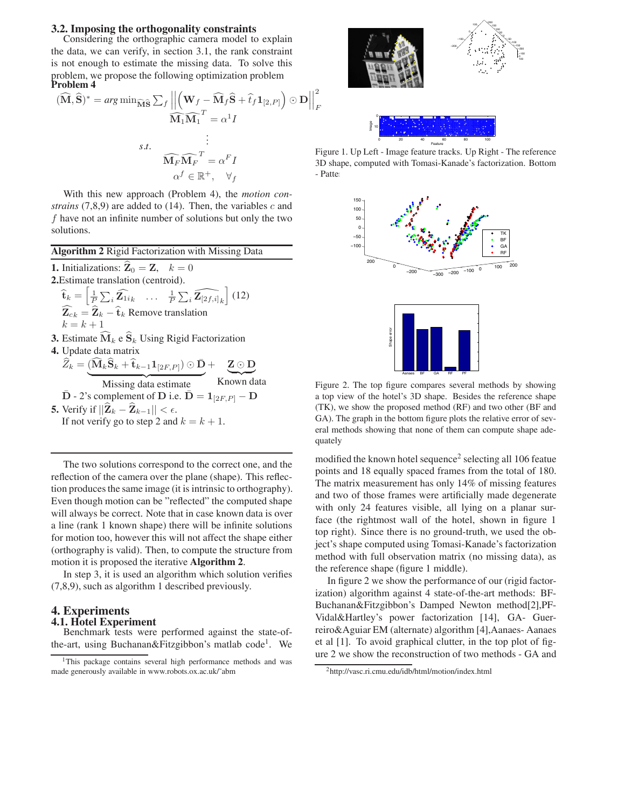#### **3.2. Imposing the orthogonality constraints**

Considering the orthographic camera model to explain the data, we can verify, in section 3.1, the rank constraint is not enough to estimate the missing data. To solve this problem, we propose the following optimization problem **Problem 4**

$$
(\widehat{\mathbf{M}}, \widehat{\mathbf{S}})^* = \arg\min_{\widehat{\mathbf{M}} \widehat{\mathbf{S}}} \sum_{f} \left| \left| \left( \mathbf{W}_f - \widehat{\mathbf{M}}_f \widehat{\mathbf{S}} + \widehat{t}_f \mathbf{1}_{[2, P]} \right) \odot \mathbf{D} \right| \right|_F^2
$$
  
s.t. 
$$
\widehat{\mathbf{M}}_F \widehat{\mathbf{M}}_F^T = \alpha^I I
$$
  

$$
\alpha^f \in \mathbb{R}^+, \quad \forall_f
$$

With this new approach (Problem 4), the *motion constrains*  $(7,8,9)$  are added to  $(14)$ . Then, the variables c and f have not an infinite number of solutions but only the two solutions.

**Algorithm 2** Rigid Factorization with Missing Data

| <b>1.</b> Initializations: $\hat{\mathbf{Z}}_0 = \mathbf{Z}, \quad k = 0$                                                                                                         |
|-----------------------------------------------------------------------------------------------------------------------------------------------------------------------------------|
| 2. Estimate translation (centroid).                                                                                                                                               |
| $\widehat{\mathbf{t}}_k = \left  \frac{1}{P} \sum_i \widehat{\mathbf{Z}_{1i}}_k \dots \right  \frac{1}{P} \sum_i \widehat{\mathbf{Z}_{[2f,i]}}_k \right $ (12)                    |
| $\widehat{\mathbf{Z}}_{ck} = \widehat{\mathbf{Z}}_k - \widehat{\mathbf{t}}_k$ Remove translation                                                                                  |
| $k=k+1$                                                                                                                                                                           |
| <b>3.</b> Estimate $\widehat{\mathbf{M}}_k$ e $\widehat{\mathbf{S}}_k$ Using Rigid Factorization                                                                                  |
| 4. Update data matrix                                                                                                                                                             |
| $\widehat{Z}_k = (\widehat{\mathbf{M}}_k\widehat{\mathbf{S}}_k + \widehat{\mathbf{t}}_{k-1}\mathbf{1}_{[2F,P]}) \odot \bar{\mathbf{D}} + \mathbf{Z} \odot \underline{\mathbf{D}}$ |
| Known data<br>Missing data estimate                                                                                                                                               |

missing **D** - 2's complement of **D** i.e.  $\bar{D} = 1_{[2F,P]} - D$ 

**5.** Verify if  $||\hat{\mathbf{Z}}_k - \hat{\mathbf{Z}}_{k-1}|| < \epsilon$ . If not verify go to step 2 and  $k = k + 1$ .

The two solutions correspond to the correct one, and the reflection of the camera over the plane (shape). This reflection produces the same image (it is intrinsic to orthography). Even though motion can be "reflected" the computed shape will always be correct. Note that in case known data is over a line (rank 1 known shape) there will be infinite solutions for motion too, however this will not affect the shape either (orthography is valid). Then, to compute the structure from motion it is proposed the iterative **Algorithm 2**.

In step 3, it is used an algorithm which solution verifies (7,8,9), such as algorithm 1 described previously.

### **4. Experiments**

### **4.1. Hotel Experiment**

Benchmark tests were performed against the state-ofthe-art, using Buchanan&Fitzgibbon's matlab code<sup>1</sup>. We



Figure 1. Up Left - Image feature tracks. Up Right - The reference 3D shape, computed with Tomasi-Kanade's factorization. Bottom - Patter





Figure 2. The top figure compares several methods by showing a top view of the hotel's 3D shape. Besides the reference shape (TK), we show the proposed method (RF) and two other (BF and GA). The graph in the bottom figure plots the relative error of several methods showing that none of them can compute shape adequately

modified the known hotel sequence<sup>2</sup> selecting all 106 featue points and 18 equally spaced frames from the total of 180. The matrix measurement has only 14% of missing features and two of those frames were artificially made degenerate with only 24 features visible, all lying on a planar surface (the rightmost wall of the hotel, shown in figure 1 top right). Since there is no ground-truth, we used the object's shape computed using Tomasi-Kanade's factorization method with full observation matrix (no missing data), as the reference shape (figure 1 middle).

In figure 2 we show the performance of our (rigid factorization) algorithm against 4 state-of-the-art methods: BF-Buchanan&Fitzgibbon's Damped Newton method[2],PF-Vidal&Hartley's power factorization [14], GA- Guerreiro&Aguiar EM (alternate) algorithm [4],Aanaes- Aanaes et al [1]. To avoid graphical clutter, in the top plot of figure 2 we show the reconstruction of two methods - GA and

<sup>&</sup>lt;sup>1</sup>This package contains several high performance methods and was made generously available in www.robots.ox.ac.uk/˜abm

<sup>2</sup>http://vasc.ri.cmu.edu/idb/html/motion/index.html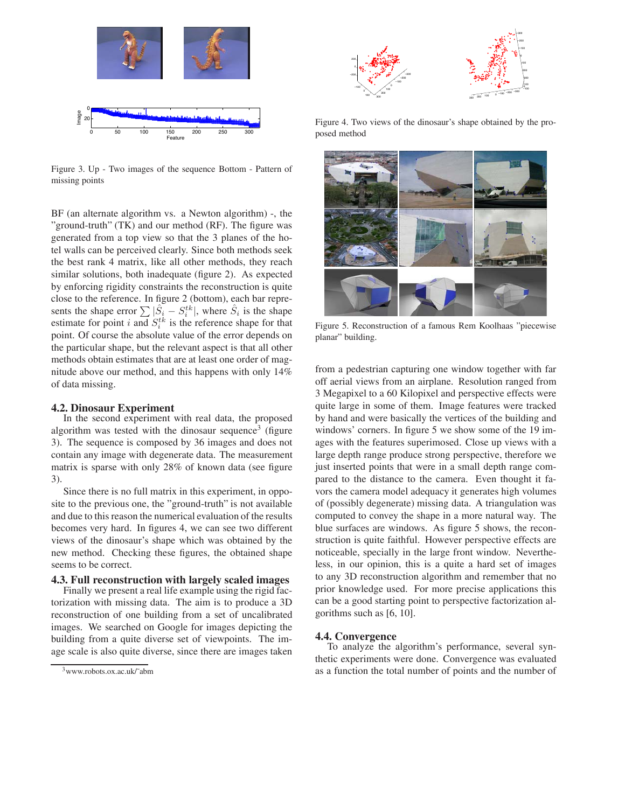

Figure 3. Up - Two images of the sequence Bottom - Pattern of missing points

BF (an alternate algorithm vs. a Newton algorithm) -, the "ground-truth" (TK) and our method (RF). The figure was generated from a top view so that the 3 planes of the hotel walls can be perceived clearly. Since both methods seek the best rank 4 matrix, like all other methods, they reach similar solutions, both inadequate (figure 2). As expected by enforcing rigidity constraints the reconstruction is quite close to the reference. In figure 2 (bottom), each bar represents the shape error  $\sum |\hat{S}_i - S_i^{tk}|$ , where  $\hat{S}_i$  is the shape estimate for point i and  $S_i^{tk}$  is the reference shape for that point. Of course the absolute value of the error depends on the particular shape, but the relevant aspect is that all other methods obtain estimates that are at least one order of magnitude above our method, and this happens with only 14% of data missing.

### **4.2. Dinosaur Experiment**

In the second experiment with real data, the proposed algorithm was tested with the dinosaur sequence<sup>3</sup> (figure 3). The sequence is composed by 36 images and does not contain any image with degenerate data. The measurement matrix is sparse with only 28% of known data (see figure 3).

Since there is no full matrix in this experiment, in opposite to the previous one, the "ground-truth" is not available and due to this reason the numerical evaluation of the results becomes very hard. In figures 4, we can see two different views of the dinosaur's shape which was obtained by the new method. Checking these figures, the obtained shape seems to be correct.

# **4.3. Full reconstruction with largely scaled images**

Finally we present a real life example using the rigid factorization with missing data. The aim is to produce a 3D reconstruction of one building from a set of uncalibrated images. We searched on Google for images depicting the building from a quite diverse set of viewpoints. The image scale is also quite diverse, since there are images taken



Figure 4. Two views of the dinosaur's shape obtained by the proposed method



Figure 5. Reconstruction of a famous Rem Koolhaas "piecewise planar" building.

from a pedestrian capturing one window together with far off aerial views from an airplane. Resolution ranged from 3 Megapixel to a 60 Kilopixel and perspective effects were quite large in some of them. Image features were tracked by hand and were basically the vertices of the building and windows' corners. In figure 5 we show some of the 19 images with the features superimosed. Close up views with a large depth range produce strong perspective, therefore we just inserted points that were in a small depth range compared to the distance to the camera. Even thought it favors the camera model adequacy it generates high volumes of (possibly degenerate) missing data. A triangulation was computed to convey the shape in a more natural way. The blue surfaces are windows. As figure 5 shows, the reconstruction is quite faithful. However perspective effects are noticeable, specially in the large front window. Nevertheless, in our opinion, this is a quite a hard set of images to any 3D reconstruction algorithm and remember that no prior knowledge used. For more precise applications this can be a good starting point to perspective factorization algorithms such as [6, 10].

#### **4.4. Convergence**

To analyze the algorithm's performance, several synthetic experiments were done. Convergence was evaluated as a function the total number of points and the number of

<sup>3</sup>www.robots.ox.ac.uk/˜abm